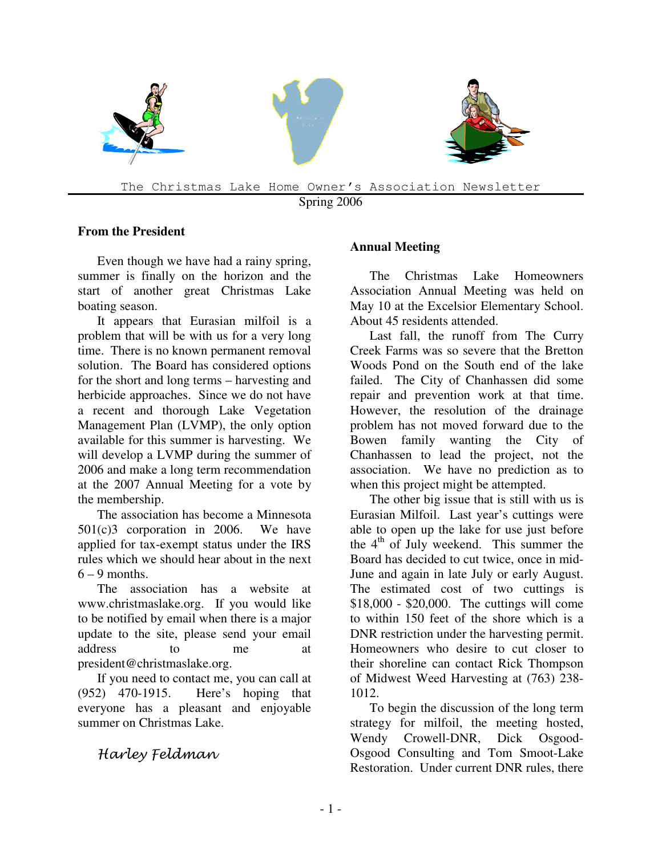

Spring 2006

### **From the President**

Even though we have had a rainy spring, summer is finally on the horizon and the start of another great Christmas Lake boating season.

It appears that Eurasian milfoil is a problem that will be with us for a very long time. There is no known permanent removal solution. The Board has considered options for the short and long terms – harvesting and herbicide approaches. Since we do not have a recent and thorough Lake Vegetation Management Plan (LVMP), the only option available for this summer is harvesting. We will develop a LVMP during the summer of 2006 and make a long term recommendation at the 2007 Annual Meeting for a vote by the membership.

The association has become a Minnesota 501(c)3 corporation in 2006. We have applied for tax-exempt status under the IRS rules which we should hear about in the next  $6 - 9$  months.

The association has a website at www.christmaslake.org. If you would like to be notified by email when there is a major update to the site, please send your email address to me at president@christmaslake.org.

If you need to contact me, you can call at (952) 470-1915. Here's hoping that everyone has a pleasant and enjoyable summer on Christmas Lake.

## Harley Feldman

### **Annual Meeting**

The Christmas Lake Homeowners Association Annual Meeting was held on May 10 at the Excelsior Elementary School. About 45 residents attended.

Last fall, the runoff from The Curry Creek Farms was so severe that the Bretton Woods Pond on the South end of the lake failed. The City of Chanhassen did some repair and prevention work at that time. However, the resolution of the drainage problem has not moved forward due to the Bowen family wanting the City of Chanhassen to lead the project, not the association. We have no prediction as to when this project might be attempted.

The other big issue that is still with us is Eurasian Milfoil. Last year's cuttings were able to open up the lake for use just before the  $4<sup>th</sup>$  of July weekend. This summer the Board has decided to cut twice, once in mid-June and again in late July or early August. The estimated cost of two cuttings is \$18,000 - \$20,000. The cuttings will come to within 150 feet of the shore which is a DNR restriction under the harvesting permit. Homeowners who desire to cut closer to their shoreline can contact Rick Thompson of Midwest Weed Harvesting at (763) 238- 1012.

To begin the discussion of the long term strategy for milfoil, the meeting hosted, Wendy Crowell-DNR, Dick Osgood-Osgood Consulting and Tom Smoot-Lake Restoration. Under current DNR rules, there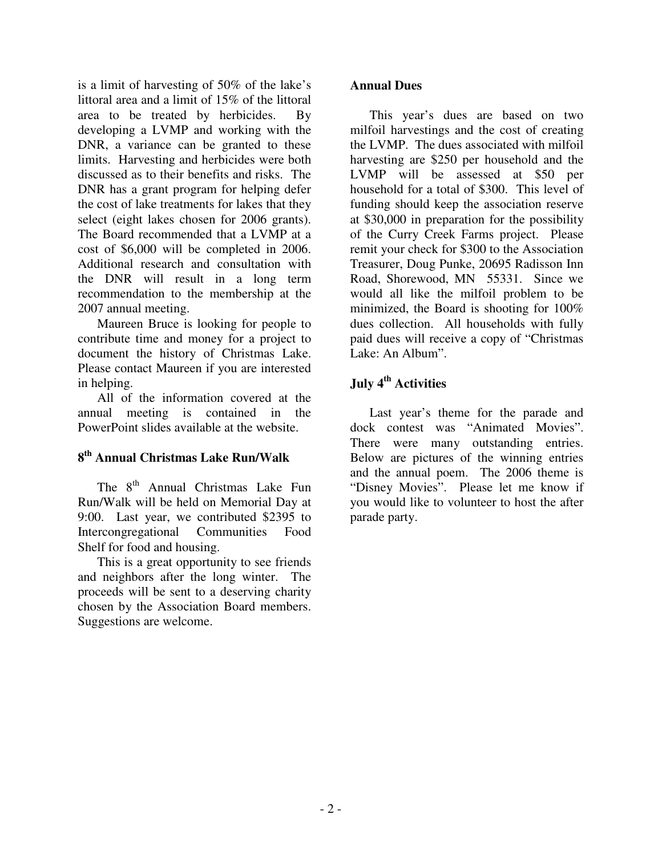is a limit of harvesting of 50% of the lake's littoral area and a limit of 15% of the littoral area to be treated by herbicides. By developing a LVMP and working with the DNR, a variance can be granted to these limits. Harvesting and herbicides were both discussed as to their benefits and risks. The DNR has a grant program for helping defer the cost of lake treatments for lakes that they select (eight lakes chosen for 2006 grants). The Board recommended that a LVMP at a cost of \$6,000 will be completed in 2006. Additional research and consultation with the DNR will result in a long term recommendation to the membership at the 2007 annual meeting.

Maureen Bruce is looking for people to contribute time and money for a project to document the history of Christmas Lake. Please contact Maureen if you are interested in helping.

All of the information covered at the annual meeting is contained in the PowerPoint slides available at the website.

### **8 th Annual Christmas Lake Run/Walk**

The 8<sup>th</sup> Annual Christmas Lake Fun Run/Walk will be held on Memorial Day at 9:00. Last year, we contributed \$2395 to Intercongregational Communities Food Shelf for food and housing.

This is a great opportunity to see friends and neighbors after the long winter. The proceeds will be sent to a deserving charity chosen by the Association Board members. Suggestions are welcome.

### **Annual Dues**

This year's dues are based on two milfoil harvestings and the cost of creating the LVMP. The dues associated with milfoil harvesting are \$250 per household and the LVMP will be assessed at \$50 per household for a total of \$300. This level of funding should keep the association reserve at \$30,000 in preparation for the possibility of the Curry Creek Farms project. Please remit your check for \$300 to the Association Treasurer, Doug Punke, 20695 Radisson Inn Road, Shorewood, MN 55331. Since we would all like the milfoil problem to be minimized, the Board is shooting for 100% dues collection. All households with fully paid dues will receive a copy of "Christmas Lake: An Album".

# **July 4th Activities**

Last year's theme for the parade and dock contest was "Animated Movies". There were many outstanding entries. Below are pictures of the winning entries and the annual poem. The 2006 theme is "Disney Movies". Please let me know if you would like to volunteer to host the after parade party.